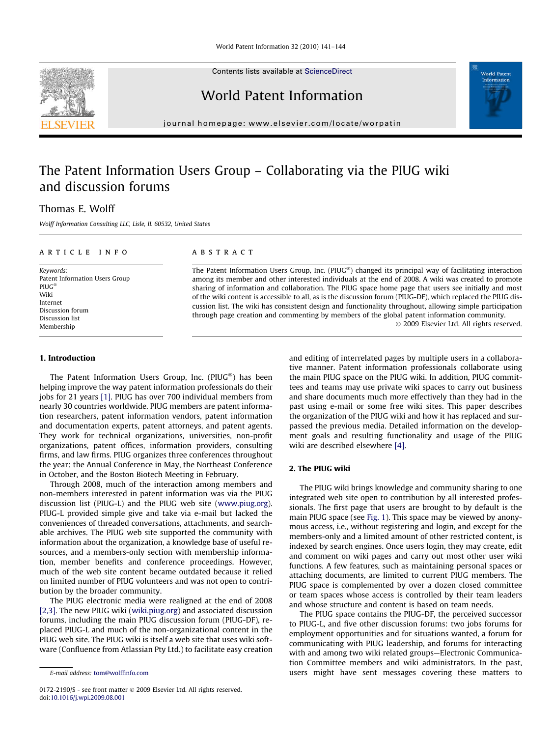Contents lists available at [ScienceDirect](http://www.sciencedirect.com/science/journal/01722190)

## World Patent Information

journal homepage: [www.elsevier.com/locate/worpatin](http://www.elsevier.com/locate/worpatin)

# The Patent Information Users Group – Collaborating via the PIUG wiki and discussion forums

## Thomas E. Wolff

Wolff Information Consulting LLC, Lisle, IL 60532, United States

#### article info

Keywords: Patent Information Users Group  $PIUG^{\circledR}$ Wiki Internet Discussion forum Discussion list Membership

#### **ABSTRACT**

The Patent Information Users Group, Inc. (PIUG®) changed its principal way of facilitating interaction among its member and other interested individuals at the end of 2008. A wiki was created to promote sharing of information and collaboration. The PIUG space home page that users see initially and most of the wiki content is accessible to all, as is the discussion forum (PIUG-DF), which replaced the PIUG discussion list. The wiki has consistent design and functionality throughout, allowing simple participation through page creation and commenting by members of the global patent information community. 2009 Elsevier Ltd. All rights reserved.

#### 1. Introduction

The Patent Information Users Group, Inc. (PIUG $^{\circledast}$ ) has been helping improve the way patent information professionals do their jobs for 21 years [\[1\]](#page-3-0). PIUG has over 700 individual members from nearly 30 countries worldwide. PIUG members are patent information researchers, patent information vendors, patent information and documentation experts, patent attorneys, and patent agents. They work for technical organizations, universities, non-profit organizations, patent offices, information providers, consulting firms, and law firms. PIUG organizes three conferences throughout the year: the Annual Conference in May, the Northeast Conference in October, and the Boston Biotech Meeting in February.

Through 2008, much of the interaction among members and non-members interested in patent information was via the PIUG discussion list (PIUG-L) and the PIUG web site ([www.piug.org\)](http://www.piug.org). PIUG-L provided simple give and take via e-mail but lacked the conveniences of threaded conversations, attachments, and searchable archives. The PIUG web site supported the community with information about the organization, a knowledge base of useful resources, and a members-only section with membership information, member benefits and conference proceedings. However, much of the web site content became outdated because it relied on limited number of PIUG volunteers and was not open to contribution by the broader community.

The PIUG electronic media were realigned at the end of 2008 [\[2,3\].](#page-3-0) The new PIUG wiki ([wiki.piug.org](http://wiki.piug.org)) and associated discussion forums, including the main PIUG discussion forum (PIUG-DF), replaced PIUG-L and much of the non-organizational content in the PIUG web site. The PIUG wiki is itself a web site that uses wiki software (Confluence from Atlassian Pty Ltd.) to facilitate easy creation

and editing of interrelated pages by multiple users in a collaborative manner. Patent information professionals collaborate using the main PIUG space on the PIUG wiki. In addition, PIUG committees and teams may use private wiki spaces to carry out business and share documents much more effectively than they had in the past using e-mail or some free wiki sites. This paper describes the organization of the PIUG wiki and how it has replaced and surpassed the previous media. Detailed information on the development goals and resulting functionality and usage of the PIUG wiki are described elsewhere [\[4\].](#page-3-0)

World Patent Information

#### 2. The PIUG wiki

The PIUG wiki brings knowledge and community sharing to one integrated web site open to contribution by all interested professionals. The first page that users are brought to by default is the main PIUG space (see [Fig. 1\)](#page-1-0). This space may be viewed by anonymous access, i.e., without registering and login, and except for the members-only and a limited amount of other restricted content, is indexed by search engines. Once users login, they may create, edit and comment on wiki pages and carry out most other user wiki functions. A few features, such as maintaining personal spaces or attaching documents, are limited to current PIUG members. The PIUG space is complemented by over a dozen closed committee or team spaces whose access is controlled by their team leaders and whose structure and content is based on team needs.

The PIUG space contains the PIUG-DF, the perceived successor to PIUG-L, and five other discussion forums: two jobs forums for employment opportunities and for situations wanted, a forum for communicating with PIUG leadership, and forums for interacting with and among two wiki related groups—Electronic Communication Committee members and wiki administrators. In the past, users might have sent messages covering these matters to



E-mail address: [tom@wolffinfo.com](mailto:tom@wolffinfo.com)

<sup>0172-2190/\$ -</sup> see front matter © 2009 Elsevier Ltd. All rights reserved. doi[:10.1016/j.wpi.2009.08.001](http://dx.doi.org/10.1016/j.wpi.2009.08.001)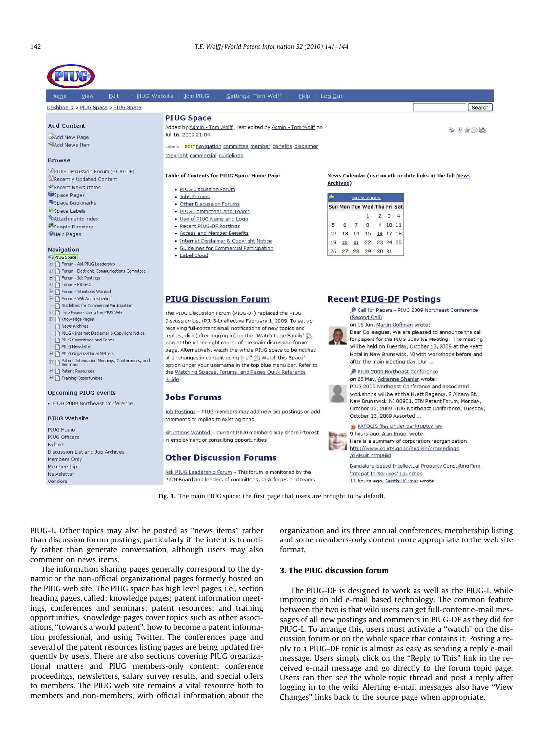<span id="page-1-0"></span>

| Edit<br>PIUG Website<br>View<br>Home                                                            | Settings: Tom Wolff<br>Join PIUG<br>Help                                                                                                                                                                     | Log Out                                                                                                                                                                                           |
|-------------------------------------------------------------------------------------------------|--------------------------------------------------------------------------------------------------------------------------------------------------------------------------------------------------------------|---------------------------------------------------------------------------------------------------------------------------------------------------------------------------------------------------|
| Dashboard > PIUG Space > PIUG Space                                                             |                                                                                                                                                                                                              | Search                                                                                                                                                                                            |
| Add Content<br>Add New Page<br>CAdd News Item<br><b>Browse</b>                                  | <b>PIUG Space</b><br>Added by Admin - Tom Wolff, last edited by Admin - Tom Wolff on<br>Jul 16, 2009 21:04<br>Labels EDIT navigation committee member benefits disclaimer<br>copyright commercial guidelines | ゆり女の民                                                                                                                                                                                             |
| PIUG Discussion Forum (PIUG-DF)<br>Recently Updated Content<br>Recent News Items<br>Space Pages | Table of Contents for PIUG Space Home Page<br>· PIUG Discussion Forum                                                                                                                                        | News Calendar (use month or date links or the full News<br>Archives)                                                                                                                              |
| Space Bookmarks<br>Space Labels<br>OAttachments index<br>People Directory<br>Help Pages         | · Jobs Forums<br>• Other Discussion Forums<br>. PIUG Committees and Teams<br>. Use of PIUG Name and Logo<br>· Recent PIUG-DF Postings<br>• Access and Member Benefits                                        | <b>JULY 2009</b><br>Sun Mon Tue Wed Thu Fri Sat<br>$\overline{2}$<br>$\mathbf{3}$<br>$\mathbf{1}$<br>$\overline{4}$<br>5<br>$\overline{7}$<br>91011<br>6<br>8<br>16 17 18<br>12<br>13<br>14<br>15 |

## Navigation

- PIUG Space Forum - Ask PIUG Leadership 南
- $\frac{1}{2}$ Forum - Electronic Communications Committee
- Forum Job Postings
- 中 Forum - PILIG-DF
- 审 Forum - Situations Wanted
- Forum Wiki Administration
- Guidelines for Commercial Participation Help Pages - Using the PIUG Wiki
- Knowledge Page
- News Archives
- PIUG Internet Disclaimer & Copyright Notice
- PIUG Committees and Teams
- PIUG Newsletter
- **E** PIUG Organizational Matters
- Patent Information Meetings, Conferences, and<br>Seminars
- Patent Resources
- Training Opportunities

## **Upcoming PIUG events**

. PIUG 2009 Northeast Conference

#### **PIUG Website**

PIUG Home PIUG Officers Bylaws Discussion List and Job Archives Members Only Membership Newsletter Vendors

- · Internet Disclaimer & Copyright Notice
- · Guidelines for Commercial Participation
- · Label Cloud

#### **PIUG Discussion Forum**

The PIUG Discussion Forum (PIUG-DF) replaced the PIUG Discussion List (PIUG-L) effective February 1, 2009. To set up receiving full-content email notifications of new tonics and replies, click (after logging in) on the "Watch Page Family" icon at the upper-right corner of the main discussion forum page. Alternatively, watch the whole PIUG space to be notified of all changes in content using the " S Watch this Space" ontion under your username in the top blue menu har. Refer to the Watching Spaces, Forums, and Pages Ouick Reference Guide.

## **Jobs Forums**

Joh Postings - PIUG members may add new joh postings or add comments or replies to existing ones.

Situations Wanted - Current PIUG members may share interest in employment or consulting opportunities.

#### **Other Discussion Forums**

Ask PIUG Leadership Forum - This forum is monitored by the PIUG Board and leaders of committees, task forces and teams.

Fig. 1. The main PIUG space: the first page that users are brought to by default.

PIUG-L. Other topics may also be posted as "news items" rather than discussion forum postings, particularly if the intent is to notify rather than generate conversation, although users may also comment on news items.

The information sharing pages generally correspond to the dynamic or the non-official organizational pages formerly hosted on the PIUG web site. The PIUG space has high level pages, i.e., section heading pages, called: knowledge pages; patent information meetings, conferences and seminars; patent resources; and training opportunities. Knowledge pages cover topics such as other associations, "towards a world patent", how to become a patent information professional, and using Twitter. The conferences page and several of the patent resources listing pages are being updated frequently by users. There are also sections covering PIUG organizational matters and PIUG members-only content: conference proceedings, newsletters, salary survey results, and special offers to members. The PIUG web site remains a vital resource both to members and non-members, with official information about the

|              | <b>JULY 2009</b> |     |                             |              |       |  |  |
|--------------|------------------|-----|-----------------------------|--------------|-------|--|--|
|              |                  |     | Sun Mon Tue Wed Thu Fri Sat |              |       |  |  |
|              |                  |     | $\mathbf{1}$                | $\mathbf{2}$ | -3    |  |  |
| 5            | б.               |     | 8 9                         |              | 10 11 |  |  |
| $12^{\circ}$ | 13               | 14  | 15                          | 16           | 17 18 |  |  |
| 19           | 20               | 21  | 22 23 24 25                 |              |       |  |  |
| 26           | 27               | -28 | - 29                        | 30           | 31.   |  |  |

## **Recent PIUG-DF Postings**





Dear Colleagues, We are pleased to announce the call for papers for the PIUG 2009 NE Meeting. The meeting will be held on Tuesday, October 13, 2009 at the Hyatt Hotel in New Brunswick, NJ with workshops before and after the main meeting day. Our ...

#### P PIUG 2009 Northeast Conference



on 26 May, Adrienne Shanler wrote: PIUG 2009 Northeast Conference and associated workshops will be at the Hyatt Regency, 2 Albany St., New Brunswick, NJ 08901, STN Patent Forum, Monday, October 12, 2009 PIUG Northeast Conference, Tuesday, October 13, 2009 Assorted ..

A PATOLIS files under bankruptcy law 9 hours ago, Alan Engel wrote: Here is a summary of corporation reorganization. http://www.courts.go.jp/english/proceedings /civilsuit.html#iiid

> Bangalore-based Intellectual Property Consulting Firm 'Intepat IP Services' Launches 11 hours ago, Senthil Kumar wrote:

organization and its three annual conferences, membership listing and some members-only content more appropriate to the web site format.

#### 3. The PIUG discussion forum

The PIUG-DF is designed to work as well as the PIUG-L while improving on old e-mail based technology. The common feature between the two is that wiki users can get full-content e-mail messages of all new postings and comments in PIUG-DF as they did for PIUG-L. To arrange this, users must activate a "watch" on the discussion forum or on the whole space that contains it. Posting a reply to a PIUG-DF topic is almost as easy as sending a reply e-mail message. Users simply click on the "Reply to This" link in the received e-mail message and go directly to the forum topic page. Users can then see the whole topic thread and post a reply after logging in to the wiki. Alerting e-mail messages also have "View Changes" links back to the source page when appropriate.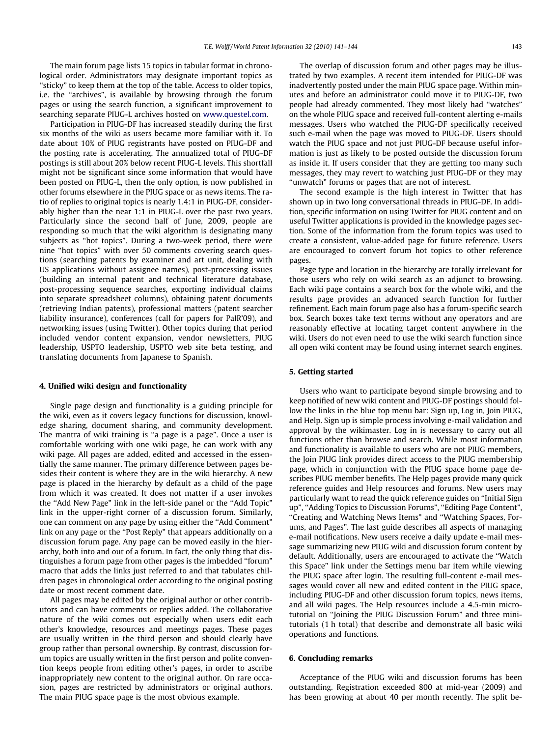The main forum page lists 15 topics in tabular format in chronological order. Administrators may designate important topics as ''sticky" to keep them at the top of the table. Access to older topics, i.e. the ''archives", is available by browsing through the forum pages or using the search function, a significant improvement to searching separate PIUG-L archives hosted on [www.questel.com](http://www.questel.com).

Participation in PIUG-DF has increased steadily during the first six months of the wiki as users became more familiar with it. To date about 10% of PIUG registrants have posted on PIUG-DF and the posting rate is accelerating. The annualized total of PIUG-DF postings is still about 20% below recent PIUG-L levels. This shortfall might not be significant since some information that would have been posted on PIUG-L, then the only option, is now published in other forums elsewhere in the PIUG space or as news items. The ratio of replies to original topics is nearly 1.4:1 in PIUG-DF, considerably higher than the near 1:1 in PIUG-L over the past two years. Particularly since the second half of June, 2009, people are responding so much that the wiki algorithm is designating many subjects as ''hot topics". During a two-week period, there were nine ''hot topics" with over 50 comments covering search questions (searching patents by examiner and art unit, dealing with US applications without assignee names), post-processing issues (building an internal patent and technical literature database, post-processing sequence searches, exporting individual claims into separate spreadsheet columns), obtaining patent documents (retrieving Indian patents), professional matters (patent searcher liability insurance), conferences (call for papers for PaIR'09), and networking issues (using Twitter). Other topics during that period included vendor content expansion, vendor newsletters, PIUG leadership, USPTO leadership, USPTO web site beta testing, and translating documents from Japanese to Spanish.

### 4. Unified wiki design and functionality

Single page design and functionality is a guiding principle for the wiki, even as it covers legacy functions for discussion, knowledge sharing, document sharing, and community development. The mantra of wiki training is ''a page is a page". Once a user is comfortable working with one wiki page, he can work with any wiki page. All pages are added, edited and accessed in the essentially the same manner. The primary difference between pages besides their content is where they are in the wiki hierarchy. A new page is placed in the hierarchy by default as a child of the page from which it was created. It does not matter if a user invokes the ''Add New Page" link in the left-side panel or the ''Add Topic" link in the upper-right corner of a discussion forum. Similarly, one can comment on any page by using either the ''Add Comment" link on any page or the ''Post Reply" that appears additionally on a discussion forum page. Any page can be moved easily in the hierarchy, both into and out of a forum. In fact, the only thing that distinguishes a forum page from other pages is the imbedded ''forum" macro that adds the links just referred to and that tabulates children pages in chronological order according to the original posting date or most recent comment date.

All pages may be edited by the original author or other contributors and can have comments or replies added. The collaborative nature of the wiki comes out especially when users edit each other's knowledge, resources and meetings pages. These pages are usually written in the third person and should clearly have group rather than personal ownership. By contrast, discussion forum topics are usually written in the first person and polite convention keeps people from editing other's pages, in order to ascribe inappropriately new content to the original author. On rare occasion, pages are restricted by administrators or original authors. The main PIUG space page is the most obvious example.

The overlap of discussion forum and other pages may be illustrated by two examples. A recent item intended for PIUG-DF was inadvertently posted under the main PIUG space page. Within minutes and before an administrator could move it to PIUG-DF, two people had already commented. They most likely had ''watches" on the whole PIUG space and received full-content alerting e-mails messages. Users who watched the PIUG-DF specifically received such e-mail when the page was moved to PIUG-DF. Users should watch the PIUG space and not just PIUG-DF because useful information is just as likely to be posted outside the discussion forum as inside it. If users consider that they are getting too many such messages, they may revert to watching just PIUG-DF or they may "unwatch" forums or pages that are not of interest.

The second example is the high interest in Twitter that has shown up in two long conversational threads in PIUG-DF. In addition, specific information on using Twitter for PIUG content and on useful Twitter applications is provided in the knowledge pages section. Some of the information from the forum topics was used to create a consistent, value-added page for future reference. Users are encouraged to convert forum hot topics to other reference pages.

Page type and location in the hierarchy are totally irrelevant for those users who rely on wiki search as an adjunct to browsing. Each wiki page contains a search box for the whole wiki, and the results page provides an advanced search function for further refinement. Each main forum page also has a forum-specific search box. Search boxes take text terms without any operators and are reasonably effective at locating target content anywhere in the wiki. Users do not even need to use the wiki search function since all open wiki content may be found using internet search engines.

#### 5. Getting started

Users who want to participate beyond simple browsing and to keep notified of new wiki content and PIUG-DF postings should follow the links in the blue top menu bar: Sign up, Log in, Join PIUG, and Help. Sign up is simple process involving e-mail validation and approval by the wikimaster. Log in is necessary to carry out all functions other than browse and search. While most information and functionality is available to users who are not PIUG members, the Join PIUG link provides direct access to the PIUG membership page, which in conjunction with the PIUG space home page describes PIUG member benefits. The Help pages provide many quick reference guides and Help resources and forums. New users may particularly want to read the quick reference guides on ''Initial Sign up", ''Adding Topics to Discussion Forums", ''Editing Page Content", ''Creating and Watching News Items" and ''Watching Spaces, Forums, and Pages". The last guide describes all aspects of managing e-mail notifications. New users receive a daily update e-mail message summarizing new PIUG wiki and discussion forum content by default. Additionally, users are encouraged to activate the ''Watch this Space" link under the Settings menu bar item while viewing the PIUG space after login. The resulting full-content e-mail messages would cover all new and edited content in the PIUG space, including PIUG-DF and other discussion forum topics, news items, and all wiki pages. The Help resources include a 4.5-min microtutorial on ''Joining the PIUG Discussion Forum" and three minitutorials (1 h total) that describe and demonstrate all basic wiki operations and functions.

### 6. Concluding remarks

Acceptance of the PIUG wiki and discussion forums has been outstanding. Registration exceeded 800 at mid-year (2009) and has been growing at about 40 per month recently. The split be